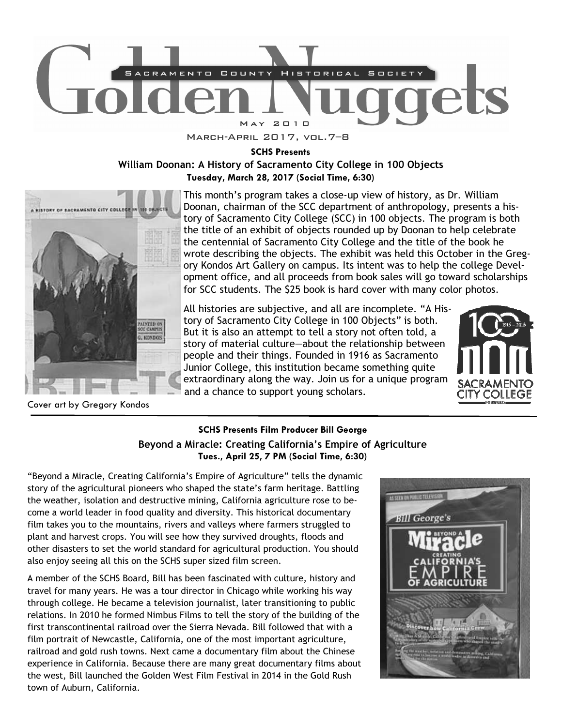

March-April 2017, vol.7–8

SCHS Presents

## William Doonan: A History of Sacramento City College in 100 Objects Tuesday, March 28, 2017 (Social Time, 6:30)



Cover art by Gregory Kondos

This month's program takes a close-up view of history, as Dr. William Doonan, chairman of the SCC department of anthropology, presents a history of Sacramento City College (SCC) in 100 objects. The program is both the title of an exhibit of objects rounded up by Doonan to help celebrate the centennial of Sacramento City College and the title of the book he wrote describing the objects. The exhibit was held this October in the Gregory Kondos Art Gallery on campus. Its intent was to help the college Development office, and all proceeds from book sales will go toward scholarships for SCC students. The \$25 book is hard cover with many color photos.

All histories are subjective, and all are incomplete. "A History of Sacramento City College in 100 Objects" is both. But it is also an attempt to tell a story not often told, a story of material culture—about the relationship between people and their things. Founded in 1916 as Sacramento Junior College, this institution became something quite extraordinary along the way. Join us for a unique program and a chance to support young scholars.



## SCHS Presents Film Producer Bill George Beyond a Miracle: Creating California's Empire of Agriculture Tues., April 25, 7 PM (Social Time, 6:30)

"Beyond a Miracle, Creating California's Empire of Agriculture" tells the dynamic story of the agricultural pioneers who shaped the state's farm heritage. Battling the weather, isolation and destructive mining, California agriculture rose to become a world leader in food quality and diversity. This historical documentary film takes you to the mountains, rivers and valleys where farmers struggled to plant and harvest crops. You will see how they survived droughts, floods and other disasters to set the world standard for agricultural production. You should also enjoy seeing all this on the SCHS super sized film screen.

A member of the SCHS Board, Bill has been fascinated with culture, history and travel for many years. He was a tour director in Chicago while working his way through college. He became a television journalist, later transitioning to public relations. In 2010 he formed Nimbus Films to tell the story of the building of the first transcontinental railroad over the Sierra Nevada. Bill followed that with a film portrait of Newcastle, California, one of the most important agriculture, railroad and gold rush towns. Next came a documentary film about the Chinese experience in California. Because there are many great documentary films about the west, Bill launched the Golden West Film Festival in 2014 in the Gold Rush town of Auburn, California.

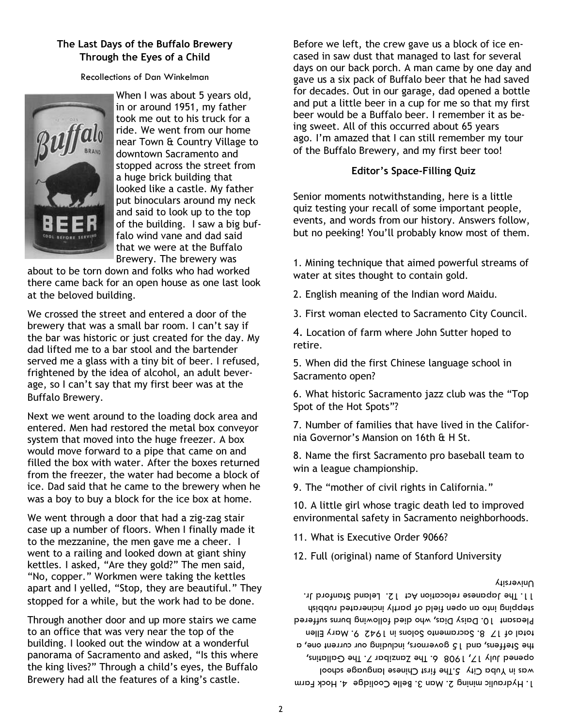### The Last Days of the Buffalo Brewery Through the Eyes of a Child

Recollections of Dan Winkelman



When I was about 5 years old, in or around 1951, my father took me out to his truck for a ride. We went from our home near Town & Country Village to downtown Sacramento and stopped across the street from a huge brick building that looked like a castle. My father put binoculars around my neck and said to look up to the top of the building. I saw a big buffalo wind vane and dad said that we were at the Buffalo Brewery. The brewery was

about to be torn down and folks who had worked there came back for an open house as one last look at the beloved building.

We crossed the street and entered a door of the brewery that was a small bar room. I can't say if the bar was historic or just created for the day. My dad lifted me to a bar stool and the bartender served me a glass with a tiny bit of beer. I refused, frightened by the idea of alcohol, an adult beverage, so I can't say that my first beer was at the Buffalo Brewery.

Next we went around to the loading dock area and entered. Men had restored the metal box conveyor system that moved into the huge freezer. A box would move forward to a pipe that came on and filled the box with water. After the boxes returned from the freezer, the water had become a block of ice. Dad said that he came to the brewery when he was a boy to buy a block for the ice box at home.

We went through a door that had a zig-zag stair case up a number of floors. When I finally made it to the mezzanine, the men gave me a cheer. I went to a railing and looked down at giant shiny kettles. I asked, "Are they gold?" The men said, "No, copper." Workmen were taking the kettles apart and I yelled, "Stop, they are beautiful." They stopped for a while, but the work had to be done.

Through another door and up more stairs we came to an office that was very near the top of the building. I looked out the window at a wonderful panorama of Sacramento and asked, "Is this where the king lives?" Through a child's eyes, the Buffalo

Before we left, the crew gave us a block of ice encased in saw dust that managed to last for several days on our back porch. A man came by one day and gave us a six pack of Buffalo beer that he had saved for decades. Out in our garage, dad opened a bottle and put a little beer in a cup for me so that my first beer would be a Buffalo beer. I remember it as being sweet. All of this occurred about 65 years ago. I'm amazed that I can still remember my tour of the Buffalo Brewery, and my first beer too!

#### Editor's Space-Filling Quiz

Senior moments notwithstanding, here is a little quiz testing your recall of some important people, events, and words from our history. Answers follow, but no peeking! You'll probably know most of them.

1. Mining technique that aimed powerful streams of water at sites thought to contain gold.

2. English meaning of the Indian word Maidu.

3. First woman elected to Sacramento City Council.

4. Location of farm where John Sutter hoped to retire.

5. When did the first Chinese language school in Sacramento open?

6. What historic Sacramento jazz club was the "Top Spot of the Hot Spots"?

7. Number of families that have lived in the California Governor's Mansion on 16th & H St.

8. Name the first Sacramento pro baseball team to win a league championship.

9. The "mother of civil rights in California."

10. A little girl whose tragic death led to improved environmental safety in Sacramento neighborhoods.

11. What is Executive Order 9066?

12. Full (original) name of Stanford University

#### University

Brewery had all the features of a king's castle. 1. Hydraulic mining you it adople 2. How it couling 2. Belle Cooling 2. How it is a series of a king's castle. was in Yuba City 5.The first Chinese language school opened July 17, 1908 6. The Zanzibar 7. The Gallatins, the Steffens, and 15 governors, including our current one, a total of 17 8. Sacramento Solons in 1942 9. Mary Ellen Pleasant 10. Daisy Dias, who died following burns suffered stepping into an open field of partly incinerated rubbish 11. The Japanese relocation Act 12. Leland Stanford Jr.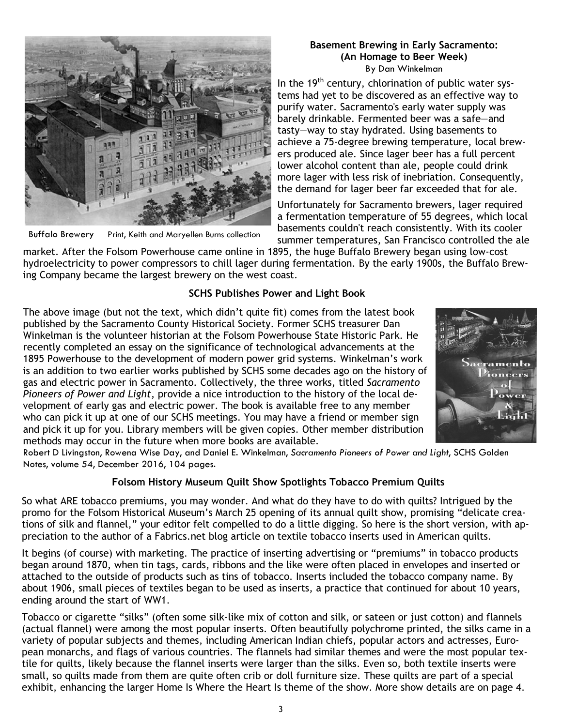

Buffalo Brewery Print, Keith and Maryellen Burns collection

#### Basement Brewing in Early Sacramento: (An Homage to Beer Week) By Dan Winkelman

In the 19<sup>th</sup> century, chlorination of public water systems had yet to be discovered as an effective way to purify water. Sacramento's early water supply was barely drinkable. Fermented beer was a safe—and tasty—way to stay hydrated. Using basements to achieve a 75-degree brewing temperature, local brewers produced ale. Since lager beer has a full percent lower alcohol content than ale, people could drink more lager with less risk of inebriation. Consequently, the demand for lager beer far exceeded that for ale.

Unfortunately for Sacramento brewers, lager required a fermentation temperature of 55 degrees, which local basements couldn't reach consistently. With its cooler summer temperatures, San Francisco controlled the ale

market. After the Folsom Powerhouse came online in 1895, the huge Buffalo Brewery began using low-cost hydroelectricity to power compressors to chill lager during fermentation. By the early 1900s, the Buffalo Brewing Company became the largest brewery on the west coast.

#### SCHS Publishes Power and Light Book

The above image (but not the text, which didn't quite fit) comes from the latest book published by the Sacramento County Historical Society. Former SCHS treasurer Dan Winkelman is the volunteer historian at the Folsom Powerhouse State Historic Park. He recently completed an essay on the significance of technological advancements at the 1895 Powerhouse to the development of modern power grid systems. Winkelman's work is an addition to two earlier works published by SCHS some decades ago on the history of gas and electric power in Sacramento. Collectively, the three works, titled Sacramento Pioneers of Power and Light, provide a nice introduction to the history of the local development of early gas and electric power. The book is available free to any member who can pick it up at one of our SCHS meetings. You may have a friend or member sign and pick it up for you. Library members will be given copies. Other member distribution methods may occur in the future when more books are available.



Robert D Livingston, Rowena Wise Day, and Daniel E. Winkelman, Sacramento Pioneers of Power and Light, SCHS Golden Notes, volume 54, December 2016, 104 pages.

## Folsom History Museum Quilt Show Spotlights Tobacco Premium Quilts

So what ARE tobacco premiums, you may wonder. And what do they have to do with quilts? Intrigued by the promo for the Folsom Historical Museum's March 25 opening of its annual quilt show, promising "delicate creations of silk and flannel," your editor felt compelled to do a little digging. So here is the short version, with appreciation to the author of a Fabrics.net blog article on textile tobacco inserts used in American quilts.

It begins (of course) with marketing. The practice of inserting advertising or "premiums" in tobacco products began around 1870, when tin tags, cards, ribbons and the like were often placed in envelopes and inserted or attached to the outside of products such as tins of tobacco. Inserts included the tobacco company name. By about 1906, small pieces of textiles began to be used as inserts, a practice that continued for about 10 years, ending around the start of WW1.

Tobacco or cigarette "silks" (often some silk-like mix of cotton and silk, or sateen or just cotton) and flannels (actual flannel) were among the most popular inserts. Often beautifully polychrome printed, the silks came in a variety of popular subjects and themes, including American Indian chiefs, popular actors and actresses, European monarchs, and flags of various countries. The flannels had similar themes and were the most popular textile for quilts, likely because the flannel inserts were larger than the silks. Even so, both textile inserts were small, so quilts made from them are quite often crib or doll furniture size. These quilts are part of a special exhibit, enhancing the larger Home Is Where the Heart Is theme of the show. More show details are on page 4.